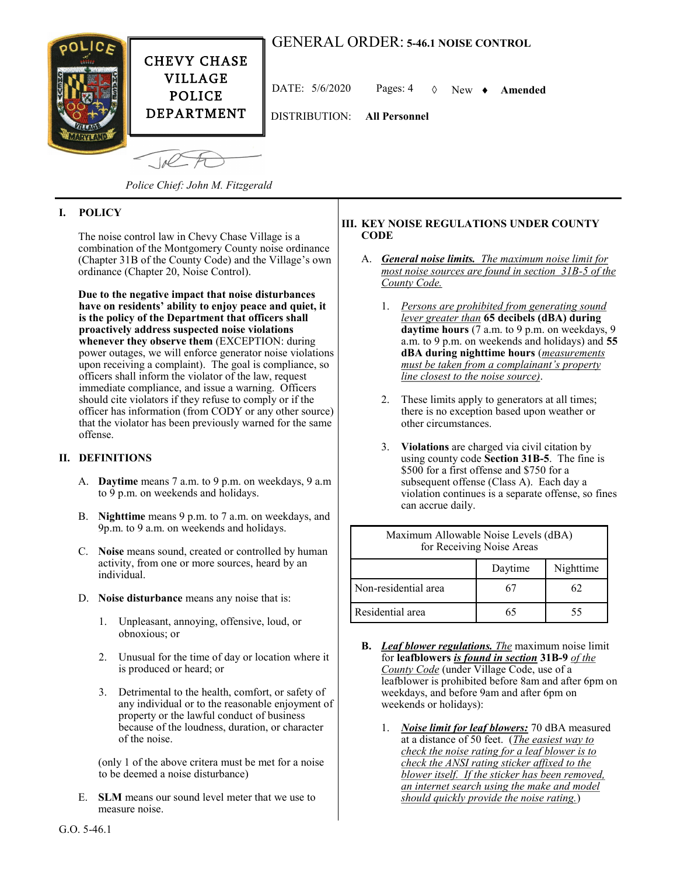# GENERAL ORDER: **5-46.1 NOISE CONTROL**



DATE: 5/6/2020 Pages: 4 New **Amended**

DISTRIBUTION: **All Personnel**

*Police Chief: John M. Fitzgerald*

# **I. POLICY**

The noise control law in Chevy Chase Village is a combination of the Montgomery County noise ordinance (Chapter 31B of the County Code) and the Village's own ordinance (Chapter 20, Noise Control).

**Due to the negative impact that noise disturbances have on residents' ability to enjoy peace and quiet, it is the policy of the Department that officers shall proactively address suspected noise violations whenever they observe them** (EXCEPTION: during power outages, we will enforce generator noise violations upon receiving a complaint). The goal is compliance, so officers shall inform the violator of the law, request immediate compliance, and issue a warning. Officers should cite violators if they refuse to comply or if the officer has information (from CODY or any other source) that the violator has been previously warned for the same offense.

# **II. DEFINITIONS**

- A. **Daytime** means 7 a.m. to 9 p.m. on weekdays, 9 a.m to 9 p.m. on weekends and holidays.
- B. **Nighttime** means 9 p.m. to 7 a.m. on weekdays, and 9p.m. to 9 a.m. on weekends and holidays.
- C. **Noise** means sound, created or controlled by human activity, from one or more sources, heard by an individual.
- D. **Noise disturbance** means any noise that is:
	- 1. Unpleasant, annoying, offensive, loud, or obnoxious; or
	- 2. Unusual for the time of day or location where it is produced or heard; or
	- 3. Detrimental to the health, comfort, or safety of any individual or to the reasonable enjoyment of property or the lawful conduct of business because of the loudness, duration, or character of the noise.

(only 1 of the above critera must be met for a noise to be deemed a noise disturbance)

E. **SLM** means our sound level meter that we use to measure noise.

#### **III. KEY NOISE REGULATIONS UNDER COUNTY CODE**

- A. *General noise limits. The maximum noise limit for most noise sources are found in section 31B-5 of the County Code.*
	- 1. *Persons are prohibited from generating sound lever greater than* **65 decibels (dBA) during daytime hours** (7 a.m. to 9 p.m. on weekdays, 9 a.m. to 9 p.m. on weekends and holidays) and **55 dBA during nighttime hours** (*measurements must be taken from a complainant's property line closest to the noise source)*.
	- 2. These limits apply to generators at all times; there is no exception based upon weather or other circumstances.
	- 3. **Violations** are charged via civil citation by using county code **Section 31B-5**. The fine is \$500 for a first offense and \$750 for a subsequent offense (Class A). Each day a violation continues is a separate offense, so fines can accrue daily.

| Maximum Allowable Noise Levels (dBA)<br>for Receiving Noise Areas |         |           |
|-------------------------------------------------------------------|---------|-----------|
|                                                                   | Daytime | Nighttime |
| Non-residential area                                              | 67      | 62        |
| Residential area                                                  | 65      | 55        |

- **B.** *Leaf blower regulations. The* maximum noise limit for **leafblowers** *is found in section* **31B-9** *of the County Code* (under Village Code, use of a leafblower is prohibited before 8am and after 6pm on weekdays, and before 9am and after 6pm on weekends or holidays):
	- 1. *Noise limit for leaf blowers:* 70 dBA measured at a distance of 50 feet. (*The easiest way to check the noise rating for a leaf blower is to check the ANSI rating sticker affixed to the blower itself. If the sticker has been removed, an internet search using the make and model should quickly provide the noise rating.*)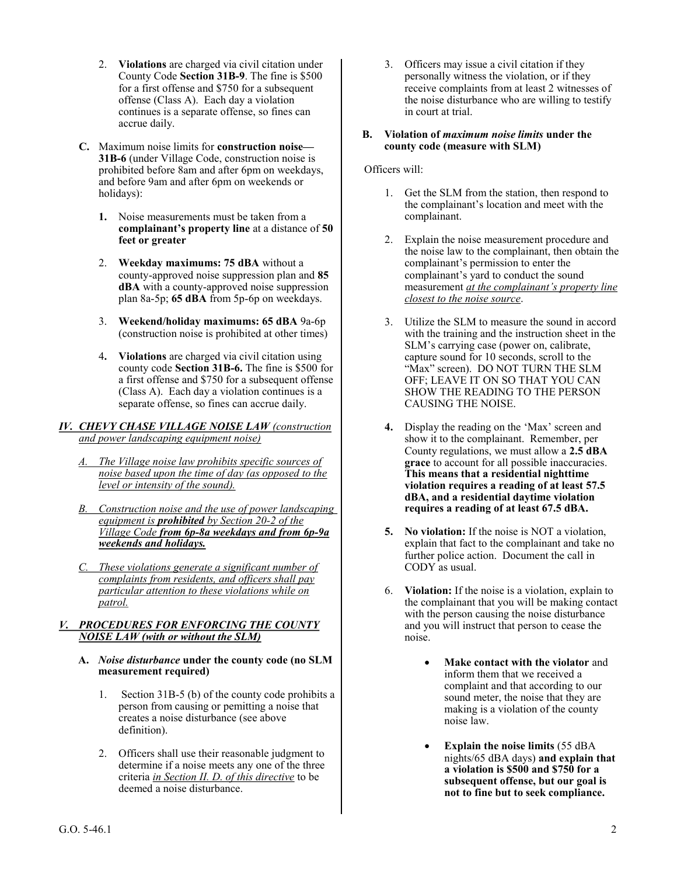- 2. **Violations** are charged via civil citation under County Code **Section 31B-9**. The fine is \$500 for a first offense and \$750 for a subsequent offense (Class A). Each day a violation continues is a separate offense, so fines can accrue daily.
- **C.** Maximum noise limits for **construction noise— 31B-6** (under Village Code, construction noise is prohibited before 8am and after 6pm on weekdays, and before 9am and after 6pm on weekends or holidays):
	- **1.** Noise measurements must be taken from a **complainant's property line** at a distance of **50 feet or greater**
	- 2. **Weekday maximums: 75 dBA** without a county-approved noise suppression plan and **85 dBA** with a county-approved noise suppression plan 8a-5p; **65 dBA** from 5p-6p on weekdays.
	- 3. **Weekend/holiday maximums: 65 dBA** 9a-6p (construction noise is prohibited at other times)
	- 4**. Violations** are charged via civil citation using county code **Section 31B-6.** The fine is \$500 for a first offense and \$750 for a subsequent offense (Class A). Each day a violation continues is a separate offense, so fines can accrue daily.

#### *IV. CHEVY CHASE VILLAGE NOISE LAW (construction and power landscaping equipment noise)*

- *A. The Village noise law prohibits specific sources of noise based upon the time of day (as opposed to the level or intensity of the sound).*
- *B. Construction noise and the use of power landscaping equipment is prohibited by Section 20-2 of the Village Code from 6p-8a weekdays and from 6p-9a weekends and holidays.*
- *C. These violations generate a significant number of complaints from residents, and officers shall pay particular attention to these violations while on patrol.*

#### *V. PROCEDURES FOR ENFORCING THE COUNTY NOISE LAW (with or without the SLM)*

- **A.** *Noise disturbance* **under the county code (no SLM measurement required)**
	- 1. Section 31B-5 (b) of the county code prohibits a person from causing or pemitting a noise that creates a noise disturbance (see above definition).
	- 2. Officers shall use their reasonable judgment to determine if a noise meets any one of the three criteria *in Section II. D. of this directive* to be deemed a noise disturbance.

3. Officers may issue a civil citation if they personally witness the violation, or if they receive complaints from at least 2 witnesses of the noise disturbance who are willing to testify in court at trial.

#### **B. Violation of** *maximum noise limits* **under the county code (measure with SLM)**

### Officers will:

- 1. Get the SLM from the station, then respond to the complainant's location and meet with the complainant.
- 2. Explain the noise measurement procedure and the noise law to the complainant, then obtain the complainant's permission to enter the complainant's yard to conduct the sound measurement *at the complainant's property line closest to the noise source*.
- 3. Utilize the SLM to measure the sound in accord with the training and the instruction sheet in the SLM's carrying case (power on, calibrate, capture sound for 10 seconds, scroll to the "Max" screen). DO NOT TURN THE SLM OFF; LEAVE IT ON SO THAT YOU CAN SHOW THE READING TO THE PERSON CAUSING THE NOISE.
- **4.** Display the reading on the 'Max' screen and show it to the complainant. Remember, per County regulations, we must allow a **2.5 dBA grace** to account for all possible inaccuracies. **This means that a residential nighttime violation requires a reading of at least 57.5 dBA, and a residential daytime violation requires a reading of at least 67.5 dBA.**
- **5. No violation:** If the noise is NOT a violation, explain that fact to the complainant and take no further police action. Document the call in CODY as usual.
- 6. **Violation:** If the noise is a violation, explain to the complainant that you will be making contact with the person causing the noise disturbance and you will instruct that person to cease the noise.
	- **Make contact with the violator** and inform them that we received a complaint and that according to our sound meter, the noise that they are making is a violation of the county noise law.
	- **Explain the noise limits** (55 dBA nights/65 dBA days) **and explain that a violation is \$500 and \$750 for a subsequent offense, but our goal is not to fine but to seek compliance.**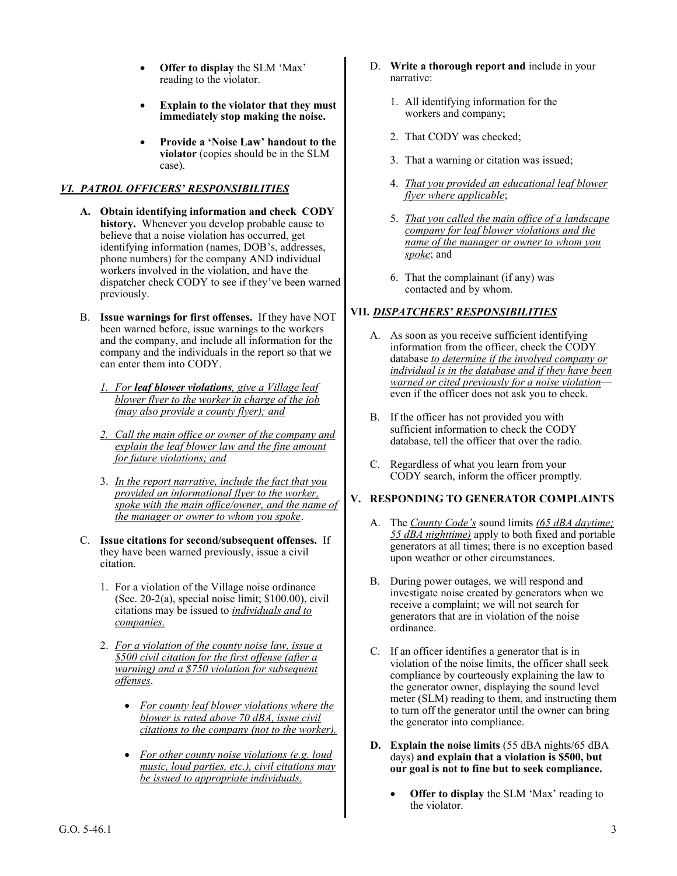- **Offer to display** the SLM 'Max' reading to the violator.
- **Explain to the violator that they must immediately stop making the noise.**
- **Provide a 'Noise Law' handout to the violator** (copies should be in the SLM case).

# *VI. PATROL OFFICERS' RESPONSIBILITIES*

- **A. Obtain identifying information and check CODY history.** Whenever you develop probable cause to believe that a noise violation has occurred, get identifying information (names, DOB's, addresses, phone numbers) for the company AND individual workers involved in the violation, and have the dispatcher check CODY to see if they've been warned previously.
- B. **Issue warnings for first offenses.** If they have NOT been warned before, issue warnings to the workers and the company, and include all information for the company and the individuals in the report so that we can enter them into CODY.
	- *1. For leaf blower violations, give a Village leaf blower flyer to the worker in charge of the job (may also provide a county flyer); and*
	- *2. Call the main office or owner of the company and explain the leaf blower law and the fine amount for future violations; and*
	- 3. *In the report narrative, include the fact that you provided an informational flyer to the worker, spoke with the main office/owner, and the name of the manager or owner to whom you spoke*.
- C. **Issue citations for second/subsequent offenses.** If they have been warned previously, issue a civil citation.
	- 1. For a violation of the Village noise ordinance (Sec. 20-2(a), special noise limit; \$100.00), civil citations may be issued to *individuals and to companies.*
	- 2. *For a violation of the county noise law, issue a \$500 civil citation for the first offense (after a warning) and a \$750 violation for subsequent offenses*.
		- *For county leaf blower violations where the blower is rated above 70 dBA, issue civil citations to the company (not to the worker).*
		- *For other county noise violations (e.g. loud music, loud parties, etc.), civil citations may be issued to appropriate individuals.*
- D. **Write a thorough report and** include in your narrative:
	- 1. All identifying information for the workers and company;
	- 2. That CODY was checked;
	- 3. That a warning or citation was issued;
	- 4. *That you provided an educational leaf blower flyer where applicable*;
	- 5. *That you called the main office of a landscape company for leaf blower violations and the name of the manager or owner to whom you spoke*; and
	- 6. That the complainant (if any) was contacted and by whom.

# **VII.** *DISPATCHERS' RESPONSIBILITIES*

- A. As soon as you receive sufficient identifying information from the officer, check the CODY database *to determine if the involved company or individual is in the database and if they have been warned or cited previously for a noise violation* even if the officer does not ask you to check.
- B. If the officer has not provided you with sufficient information to check the CODY database, tell the officer that over the radio.
- C. Regardless of what you learn from your CODY search, inform the officer promptly.

# **V. RESPONDING TO GENERATOR COMPLAINTS**

- A. The *County Code's* sound limits *(65 dBA daytime; 55 dBA nighttime)* apply to both fixed and portable generators at all times; there is no exception based upon weather or other circumstances.
- B. During power outages, we will respond and investigate noise created by generators when we receive a complaint; we will not search for generators that are in violation of the noise ordinance.
- C. If an officer identifies a generator that is in violation of the noise limits, the officer shall seek compliance by courteously explaining the law to the generator owner, displaying the sound level meter (SLM) reading to them, and instructing them to turn off the generator until the owner can bring the generator into compliance.
- **D. Explain the noise limits** (55 dBA nights/65 dBA days) **and explain that a violation is \$500, but our goal is not to fine but to seek compliance.**
	- **Offer to display** the SLM 'Max' reading to the violator.